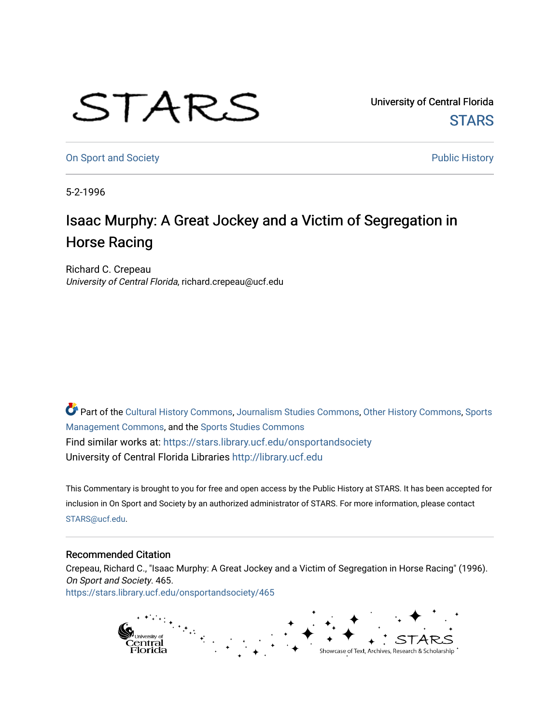## STARS

University of Central Florida **STARS** 

[On Sport and Society](https://stars.library.ucf.edu/onsportandsociety) **Public History Public History** 

5-2-1996

## Isaac Murphy: A Great Jockey and a Victim of Segregation in Horse Racing

Richard C. Crepeau University of Central Florida, richard.crepeau@ucf.edu

Part of the [Cultural History Commons](http://network.bepress.com/hgg/discipline/496?utm_source=stars.library.ucf.edu%2Fonsportandsociety%2F465&utm_medium=PDF&utm_campaign=PDFCoverPages), [Journalism Studies Commons,](http://network.bepress.com/hgg/discipline/333?utm_source=stars.library.ucf.edu%2Fonsportandsociety%2F465&utm_medium=PDF&utm_campaign=PDFCoverPages) [Other History Commons,](http://network.bepress.com/hgg/discipline/508?utm_source=stars.library.ucf.edu%2Fonsportandsociety%2F465&utm_medium=PDF&utm_campaign=PDFCoverPages) [Sports](http://network.bepress.com/hgg/discipline/1193?utm_source=stars.library.ucf.edu%2Fonsportandsociety%2F465&utm_medium=PDF&utm_campaign=PDFCoverPages) [Management Commons](http://network.bepress.com/hgg/discipline/1193?utm_source=stars.library.ucf.edu%2Fonsportandsociety%2F465&utm_medium=PDF&utm_campaign=PDFCoverPages), and the [Sports Studies Commons](http://network.bepress.com/hgg/discipline/1198?utm_source=stars.library.ucf.edu%2Fonsportandsociety%2F465&utm_medium=PDF&utm_campaign=PDFCoverPages) Find similar works at: <https://stars.library.ucf.edu/onsportandsociety> University of Central Florida Libraries [http://library.ucf.edu](http://library.ucf.edu/) 

This Commentary is brought to you for free and open access by the Public History at STARS. It has been accepted for inclusion in On Sport and Society by an authorized administrator of STARS. For more information, please contact [STARS@ucf.edu](mailto:STARS@ucf.edu).

## Recommended Citation

Crepeau, Richard C., "Isaac Murphy: A Great Jockey and a Victim of Segregation in Horse Racing" (1996). On Sport and Society. 465. [https://stars.library.ucf.edu/onsportandsociety/465](https://stars.library.ucf.edu/onsportandsociety/465?utm_source=stars.library.ucf.edu%2Fonsportandsociety%2F465&utm_medium=PDF&utm_campaign=PDFCoverPages)

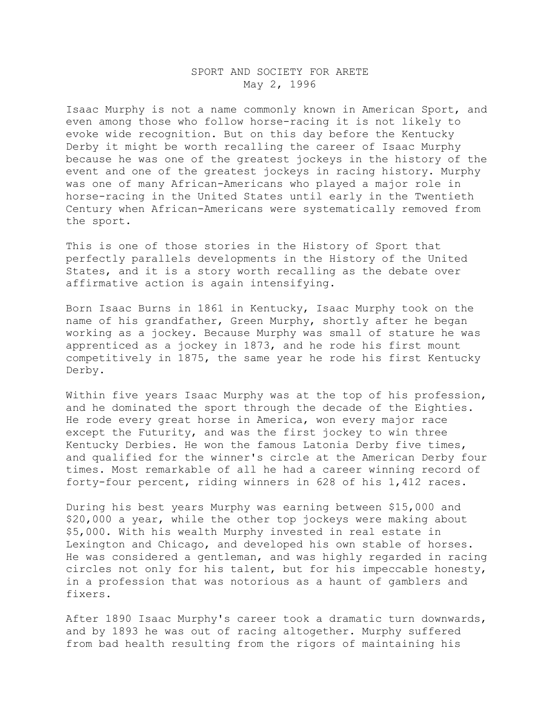## SPORT AND SOCIETY FOR ARETE May 2, 1996

Isaac Murphy is not a name commonly known in American Sport, and even among those who follow horse-racing it is not likely to evoke wide recognition. But on this day before the Kentucky Derby it might be worth recalling the career of Isaac Murphy because he was one of the greatest jockeys in the history of the event and one of the greatest jockeys in racing history. Murphy was one of many African-Americans who played a major role in horse-racing in the United States until early in the Twentieth Century when African-Americans were systematically removed from the sport.

This is one of those stories in the History of Sport that perfectly parallels developments in the History of the United States, and it is a story worth recalling as the debate over affirmative action is again intensifying.

Born Isaac Burns in 1861 in Kentucky, Isaac Murphy took on the name of his grandfather, Green Murphy, shortly after he began working as a jockey. Because Murphy was small of stature he was apprenticed as a jockey in 1873, and he rode his first mount competitively in 1875, the same year he rode his first Kentucky Derby.

Within five years Isaac Murphy was at the top of his profession, and he dominated the sport through the decade of the Eighties. He rode every great horse in America, won every major race except the Futurity, and was the first jockey to win three Kentucky Derbies. He won the famous Latonia Derby five times, and qualified for the winner's circle at the American Derby four times. Most remarkable of all he had a career winning record of forty-four percent, riding winners in 628 of his 1,412 races.

During his best years Murphy was earning between \$15,000 and \$20,000 a year, while the other top jockeys were making about \$5,000. With his wealth Murphy invested in real estate in Lexington and Chicago, and developed his own stable of horses. He was considered a gentleman, and was highly regarded in racing circles not only for his talent, but for his impeccable honesty, in a profession that was notorious as a haunt of gamblers and fixers.

After 1890 Isaac Murphy's career took a dramatic turn downwards, and by 1893 he was out of racing altogether. Murphy suffered from bad health resulting from the rigors of maintaining his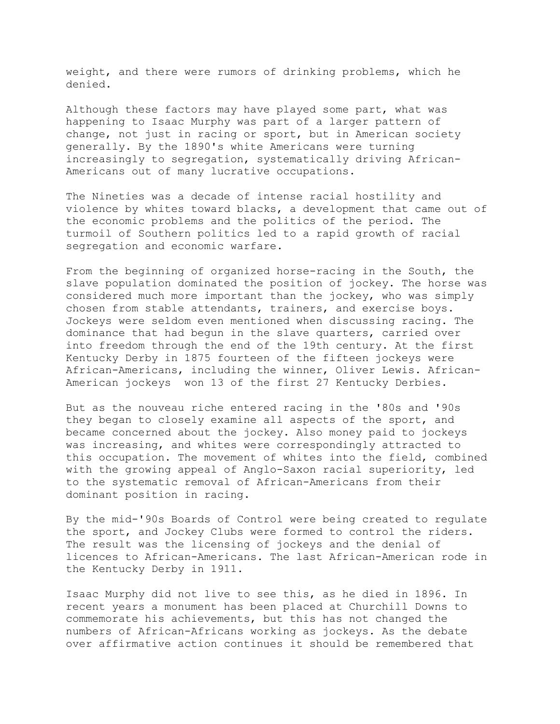weight, and there were rumors of drinking problems, which he denied.

Although these factors may have played some part, what was happening to Isaac Murphy was part of a larger pattern of change, not just in racing or sport, but in American society generally. By the 1890's white Americans were turning increasingly to segregation, systematically driving African-Americans out of many lucrative occupations.

The Nineties was a decade of intense racial hostility and violence by whites toward blacks, a development that came out of the economic problems and the politics of the period. The turmoil of Southern politics led to a rapid growth of racial segregation and economic warfare.

From the beginning of organized horse-racing in the South, the slave population dominated the position of jockey. The horse was considered much more important than the jockey, who was simply chosen from stable attendants, trainers, and exercise boys. Jockeys were seldom even mentioned when discussing racing. The dominance that had begun in the slave quarters, carried over into freedom through the end of the 19th century. At the first Kentucky Derby in 1875 fourteen of the fifteen jockeys were African-Americans, including the winner, Oliver Lewis. African-American jockeys won 13 of the first 27 Kentucky Derbies.

But as the nouveau riche entered racing in the '80s and '90s they began to closely examine all aspects of the sport, and became concerned about the jockey. Also money paid to jockeys was increasing, and whites were correspondingly attracted to this occupation. The movement of whites into the field, combined with the growing appeal of Anglo-Saxon racial superiority, led to the systematic removal of African-Americans from their dominant position in racing.

By the mid-'90s Boards of Control were being created to regulate the sport, and Jockey Clubs were formed to control the riders. The result was the licensing of jockeys and the denial of licences to African-Americans. The last African-American rode in the Kentucky Derby in 1911.

Isaac Murphy did not live to see this, as he died in 1896. In recent years a monument has been placed at Churchill Downs to commemorate his achievements, but this has not changed the numbers of African-Africans working as jockeys. As the debate over affirmative action continues it should be remembered that